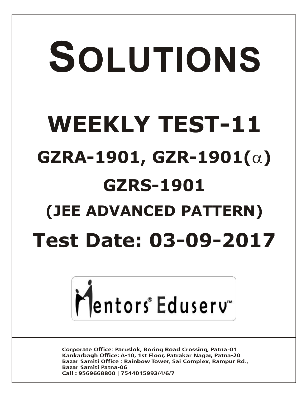# SOLUTIONS **WEEKLY TEST-11 GZRA-1901, GZR-1901(α) GZRS-1901 (JEE ADVANCED PATTERN) Test Date: 03-09-2017**



**Corporate Office: Paruslok, Boring Road Crossing, Patna-01** Kankarbagh Office: A-10, 1st Floor, Patrakar Nagar, Patna-20 Bazar Samiti Office: Rainbow Tower, Sai Complex, Rampur Rd., **Bazar Samiti Patna-06** Call: 9569668800 | 7544015993/4/6/7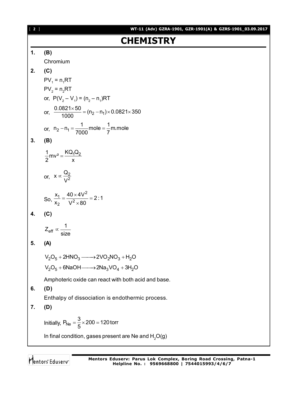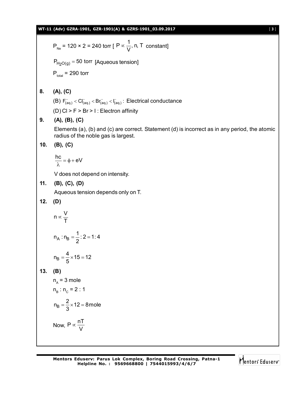$$
P_{\text{Re}} = 120 \times 2 = 240 \text{ torr } [P \propto \frac{1}{V}, n, T \text{ constant}]
$$
  
\n
$$
P_{\text{H}_2O(g)} = 50 \text{ torr } [Aqueous tension]
$$
  
\n
$$
P_{\text{total}} = 290 \text{ torr}
$$
  
\n8. **(A), (C)**  
\n**(B)**  $F_{\text{final}} < Cl_{\text{total}} < F_{\text{total}} \text{ in } 1$ : Electrical conductance  
\n**(D)**  $CI \ge F \ge Br \ge 1$ : Electron affinity  
\n**(A), (B), (C)**  
\nElements (a), (b) and (c) are correct. Statement (d) is incorrect as in any period, the atomic radius of the noble gas is largest.  
\n**10. (B), (C)**  
\n
$$
\frac{hc}{\lambda} = \phi + eV
$$
  
\n $V \text{ does not depend on intensity.}$   
\n**11. (B), (C), (D)**  
\n
$$
Aqueous tension depends only on T.
$$
  
\n**12. (D)**  
\n
$$
n \propto \frac{V}{T}
$$
  
\n
$$
n_{A} : n_{B} = \frac{1}{2} : 2 = 1 : 4
$$
  
\n
$$
n_{B} = \frac{4}{5} \times 15 = 12
$$
  
\n**13. (B)**  
\n
$$
n_{A} = 3 \text{ mole}
$$
  
\n
$$
n_{B} : n_{C} = 2 : 1
$$
  
\n
$$
n_{B} = \frac{3}{3} \times 12 = 8 \text{ mole}
$$
  
\nNow,  $P \propto \frac{nT}{V}$ 

$$
\bigvee_{i=1}^{n} \text{entors}^{\text{c}} \text{Eduser} \mathbf{v}^{\text{c}}
$$

۳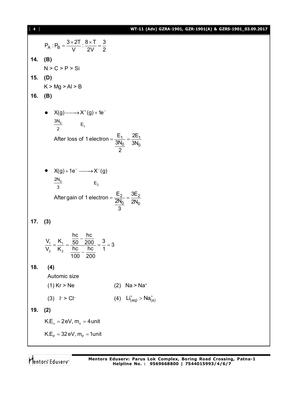# [ **4** ] **WT-11 (Adv) GZRA-1901, GZR-1901(A) & GZRS-1901\_03.09.2017**

P<sub>A</sub>: P<sub>B</sub> = 
$$
\frac{3 \times 2T}{V}
$$
 :  $\frac{8 \times T}{2V} = \frac{3}{2}$   
\n14. **(B)**  
\nN > C > P > Si  
\n15. **(D)**  
\nK > Mg > Al > B  
\n16. **(B)**  
\n• X(g) → X<sup>+</sup>(g) + 1e<sup>-</sup>  
\n $\frac{3N_0}{2}$  E<sub>1</sub>  
\nAfter loss of 1 electron =  $\frac{E_1}{3N_0} = \frac{2E_1}{3N_0}$   
\n• X(g) + 1e<sup>-</sup> → X<sup>-</sup>(g)  
\n $\frac{2N_0}{3}$  E<sub>2</sub>  
\nAfter gain of 1 electron =  $\frac{E_2}{2N_0} = \frac{3E_2}{2N_0}$   
\n17. **(3)**  
\n $\frac{V_1}{V_2} = \frac{K_1}{K_2} = \frac{\frac{hc}{50} - \frac{hc}{200}}{\frac{hc}{100} - \frac{hc}{200}} = \frac{3}{1} = 3$   
\n18. **(4)**  
\nAutomic size  
\n(1) Kr > Ne  
\n(3) l > Cl<sup>+</sup>  
\n19. **(2)**  
\nK.E<sub>α</sub> = 2eV, m<sub>α</sub> = 4unit  
\nK.E<sub>p</sub> = 32eV, m<sub>p</sub> = 1unit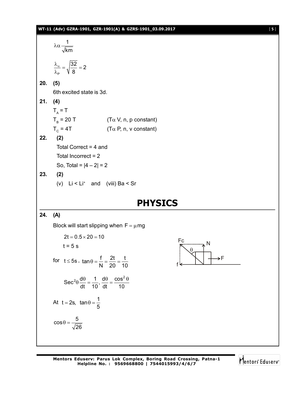1 km λα P  $\frac{32}{2}$  = 2 8  $\frac{\lambda_{\alpha}}{2} = \sqrt{\frac{32}{2}} = 2$ λ **20. (5)** 6th excited state is 3d. **21. (4)**  $T_A = T$  $T_{\rm B}$  = 20 T (T $\alpha$  V, n, p constant)  $T_c$  = 4T (T $\alpha$  P, n, v constant) **22. (2)** Total Correct = 4 and Total Incorrect = 2 So, Total =  $|4 - 2| = 2$ **23. (2)** (v) Li < Li<sup>+</sup> and (viii) Ba < Sr **PHYSICS 24. (A)** Block will start slipping when  $F = \mu mg$ 2t 0.5 20 10

$$
2t = 0.5 \times 20 = 10
$$
  
\n
$$
t = 5 \text{ s}
$$
  
\nfor  $t \le 5\text{s}$ ,  $\tan \theta = \frac{f}{N} = \frac{2t}{20} = \frac{t}{10}$   
\n
$$
\sec^2 \theta \frac{d\theta}{dt} = \frac{1}{10}, \frac{d\theta}{dt} = \frac{\cos^2 \theta}{10}
$$
  
\nAt  $t = 2\text{s}$ ,  $\tan \theta = \frac{1}{5}$   
\n
$$
\cos \theta = \frac{5}{\sqrt{26}}
$$



**Mentors Eduserv: Parus Lok Complex, Boring Road Crossing, Patna-1 Helpline No. : 9569668800 | 7544015993/4/6/7**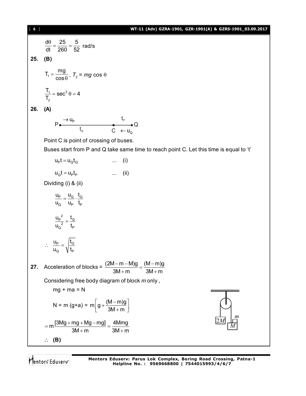[ **6** ] **WT-11 (Adv) GZRA-1901, GZR-1901(A) & GZRS-1901\_03.09.2017** d $\theta$  25 5  $\frac{\theta}{\theta} = \frac{25}{200} = \frac{5}{50}$  rad/s dt 260 52 **25. (B)**  $T_1 = \frac{mg}{200}$  $=$  $\frac{\overline{1}}{\theta}$ ,  $T_2$  = *mg* cos  $\theta$ cos  $\frac{T_1}{T_2}$  = sec<sup>2</sup>  $\theta$  = 4  $1 - \mathsf{e}\mathsf{e}\mathsf{e}^2$  $=$  Sec<sup>2</sup>  $\theta$  = 4 T, 2 **26. (A)**  $\mathfrak{t}_{\scriptscriptstyle\mathsf{P}}$  $\rightarrow$  U<sub>p</sub>  $P \bullet$   $\bullet$   $\bullet$   $\bullet$   $\bullet$   $\bullet$  $t_{\circ}$  C  $\leftarrow$  u<sub>Q</sub> Point C is point of crossing of buses. Buses start from P and Q take same time to reach point C. Let this time is equal to 't'  $u_P t = u_O t_O$  ... (i)  $u_0 t = u_p t_p$  ... (ii) Dividing (i) & (ii) u<sub>p</sub>u<sub>o</sub>t<sub>o</sub> <u>P – "Q , 'Q</u>  $=\frac{q}{q} \cdot \frac{q}{q}$ u<sub>o</sub> u<sub>p</sub> t<sub>p</sub> Q UP P  $\frac{P}{Q^2} = \frac{t_Q}{t_P}$  ${u_{\scriptscriptstyle \mathrm{P}}}^{\mathrm{2}}$  t  $=$  $u_{\rm o}{}^2$  t u<sub>P</sub> /t <u>P \_ | 'Q</u>  $\therefore \frac{dp}{dt} =$  $\sf{u_o} \quad \sf \cal{V} \, t_p$ Q VIP **27.** Acceleration of blocks =  $\frac{(2M-m-M)g}{g(2M-m)} = \frac{(M-m)g}{g(2M-m)}$  $\frac{(m-m-1)(9)}{16} = \frac{(m-m-1)(5)}{16}$  $3M + m$   $3M + m$  $+m$  3M + r Considering free body diagram of block *m* only ,  $mg + ma = N$ <u>ummummum</u> N = m (g+a) = m  $|g + \frac{(M - m)g}{g}$  $\left[g + \frac{(M-m)g}{3M+m}\right]$  $3M + m$ *m* 2*M*  $m \frac{[3Mg + mg + Mg - mg]}{2M} = \frac{4Mmg}{2M}$  $= m \frac{[3Mg + mg + Mg - mg]}{2M} =$ *M*  $3M + m$   $3M + m$  $+m$  3M + r **(B)**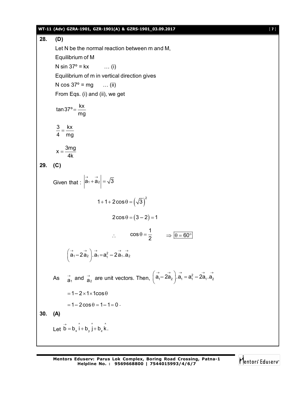#### **WT-11 (Adv) GZRA-1901, GZR-1901(A) & GZRS-1901\_03.09.2017** [ **7** ]

**28. (D)** Let N be the normal reaction between m and M, Equilibrium of M N sin  $37^{\circ}$  = kx ... (i) Equilibrium of m in vertical direction gives N  $\cos 37^\circ = mg$  ... (ii) From Eqs. (i) and (ii), we get tan37°= $\frac{\textsf{kx}}{1}$ mg  $=$ 3 kx 4 mg  $=$  $x = \frac{3mg}{4}$ 4k  $=$ **29. (C)** Given that :  $|\vec{a}_1 + \vec{a}_2| = \sqrt{3}$ 1+1+2cos $\theta = (\sqrt{3})^2$  $2\cos\theta = (3-2) = 1$  $\mathcal{L}_{\bullet}$  $\cos \theta = \frac{1}{2}$  $\theta = \frac{1}{2}$   $\Rightarrow$   $\theta = 60^{\circ}$  $(\vec{a}_1 - 2\vec{a}_2) \cdot \vec{a}_1 = \vec{a}_1^2 - 2\vec{a}_1 \cdot \vec{a}_2$ As  $\vec{a}_1$  and  $\vec{a}_2$  are unit vectors. Then,  $(\vec{a}_1 - \vec{2a}_2) \cdot \vec{a}_1 = a_1^2 - 2\vec{a}_1 \cdot \vec{a}_2$  $= 1 - 2 \times 1 \times 1$ cos $\theta$  $= 1 - 2 \cos \theta = 1 - 1 = 0$ . **30. (A)** Let  $\overrightarrow{b} = b_x \hat{i} + b_y \hat{j} + b_z \hat{k}$ .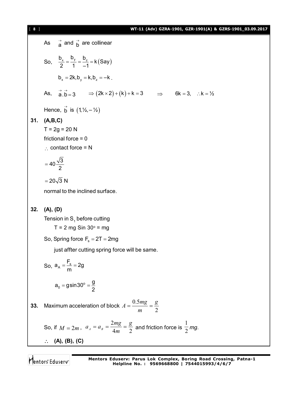[ **8** ] **WT-11 (Adv) GZRA-1901, GZR-1901(A) & GZRS-1901\_03.09.2017** As  $\overrightarrow{a}$  and  $\overrightarrow{b}$  are collinear So,  $\frac{b_x}{2} = \frac{b_y}{4} = \frac{b_z}{4} = k$  (Say) 2 1 –1  $=\frac{y}{4}=\frac{z}{4}=1$  $b_x = 2k, b_y = k, b_z = -k$ . As,  $\vec{a} \cdot \vec{b} = 3$   $\Rightarrow (2k \times 2) + (k) + k = 3$   $\Rightarrow$   $6k = 3$ ,  $\therefore k = \frac{1}{2}$ Hence,  $\overrightarrow{b}$  is  $(1, 1/2, -1/2)$ **31. (A,B,C)**  $T = 2g = 20 N$ frictional force = 0  $\therefore$  contact force = N  $40\frac{\sqrt{3}}{2}$ 2  $=$  $= 20\sqrt{3} N$ normal to the inclined surface. **32. (A), (D)** Tension in  $\mathsf{S}_{_{1}}$  before cutting  $T = 2$  mg Sin 30 $\degree$  = mg So, Spring force  $F_s = 2T = 2mg$ just affter cutting spring force will be same. So,  $a_A = \frac{1}{m}$  $a_{\rm A} = \frac{{\sf F}_{\rm s}}{{\sf F}_{\rm s}} = 2{\sf g}$ m  $=$  $\frac{-s}{s}$  = 2  $_0 =$ gsin $30^\circ$  $a_0 = g \sin 30^\circ = \frac{g}{2}$ 2 = gsin30 $^{\circ}$  =  $\frac{3}{2}$ **33.** Maximum acceleration of block 2 0.5 *g m*  $A = \frac{0.5mg}{m} =$ So, if  $M = 2m$ ,  $a_A = a_B = \frac{b}{4m} = \frac{b}{2}$ 2 *g m*  $a_{\scriptscriptstyle A}=a_{\scriptscriptstyle B}=\frac{2mg}{4m}=\frac{g}{2}$  and friction force is  $\frac{1}{2}$ *mg*. **(A), (B), (C)**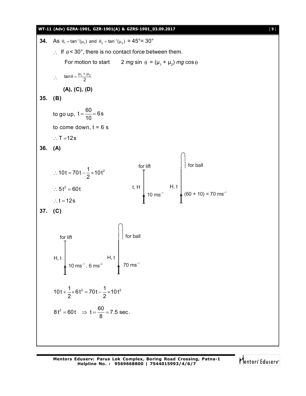**WT-11 (Adv) GZRA-1901, GZR-1901(A) & GZRS-1901\_03.09.2017** [ **9** ] **34.** As  $\theta_1 = \tan^{-1}(\mu_1)$  and  $\theta_2 = \tan^{-1}(\mu_2) = 45^{\circ} = 30^{\circ}$ If  $\theta$  < 30°, there is no contact force between them. For motion to start 2 *mg* sin  $\theta = (\mu_1 + \mu_2)$  *mg* cos  $\theta$  $\therefore$  tan  $\theta = \frac{\mu_1 + \mu_2}{2}$ **(A), (C), (D) 35. (B)** to go up,  $t = \frac{60}{10} = 6s$ 10  $=\frac{1}{10}$  = 6 to come down,  $t = 6$  s  $\therefore$  T = 12s **36. (A)** t, H for lift  $10 \text{ ms}^{-1}$ H, t  $(60 + 10) = 70$  ms<sup>-1</sup> for ball  $10t = 70t - \frac{1}{2} \times 10t^2$ 2  $\therefore$  10t = 70t -  $\frac{1}{2} \times 1$  $\therefore$  5t<sup>2</sup> = 60t  $\therefore$  t = 12s **37. (C)** H, t for lift  $10 \text{ ms}^{-1}$ , 6 ms<sup>-2</sup> H, t  $70 \text{ ms}^{-1}$ for ball  $10t + \frac{1}{2} \times 6t^2 = 70t - \frac{1}{2} \times 10t^2$ 2 2  $+\frac{1}{2} \times 6t^2 = 70t - \frac{1}{2} \times 1$  $8t^2 = 60t \implies t = \frac{60}{2} = 7.5 \text{ sec}.$ 8  $= 60t \Rightarrow t = \frac{50}{2} = 7$ 

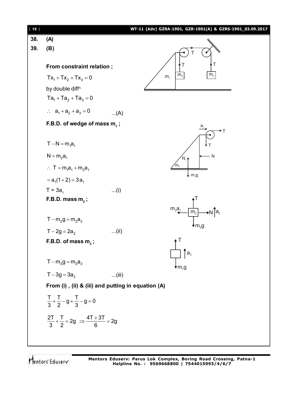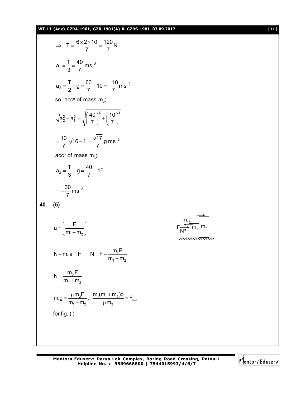# **WT-11 (Adv) GZRA-1901, GZR-1901(A) & GZRS-1901\_03.09.2017** [ **11** ]

$$
\Rightarrow T = \frac{6 \times 2 \times 10}{7} = \frac{120}{7} N
$$
  
\n
$$
a_1 = \frac{T}{3} = \frac{40}{7} m s^{-2}
$$
  
\n
$$
a_2 = \frac{T}{2} - g = \frac{60}{7} - 10 = \frac{-10}{7} m s^{-2}
$$
  
\nso, acc<sup>n</sup> of mass m<sub>2</sub>;  
\n
$$
\sqrt{a_2^2 + a_1^2} = \sqrt{\left(\frac{40}{7}\right)^2 + \left(\frac{10}{7}\right)^2}
$$
  
\n
$$
= \frac{10}{7} \sqrt{16 + 1} = \frac{\sqrt{17}}{7} g m s^{-2}
$$
  
\nacc<sup>n</sup> of mass m<sub>3</sub>;  
\n
$$
a_3 = \frac{T}{3} - g = \frac{40}{7} - 10
$$
  
\n
$$
= -\frac{30}{7} m s^{-2}
$$
  
\n40. (5)  
\n
$$
a = \left(\frac{F}{m_1 + m_2}\right)
$$
  
\n
$$
N + m_1 a = F \qquad N = F - \frac{m_1 F}{m_1 + m_2}
$$
  
\n
$$
N = \frac{m_2 F}{m_1 + m_2} \therefore \frac{m_1 (m_1 + m_2) g}{\mu m_2} = F_{min}
$$
  
\nfor fig. (i)

 $m<sub>2</sub>$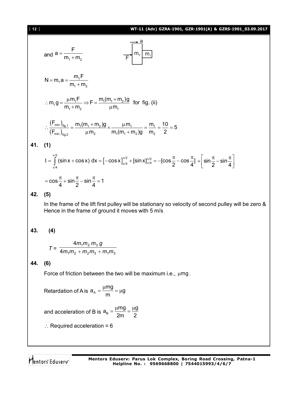

and acceleration of B is  $\mathsf{a}_{\scriptscriptstyle\mathsf{B}}$  $a_B = \frac{\mu mg}{2} = \frac{\mu g}{2}$ 2m 2  $=\frac{\mu mg}{2}=\frac{\mu g}{2}$ 

 $\therefore$  Required acceleration = 6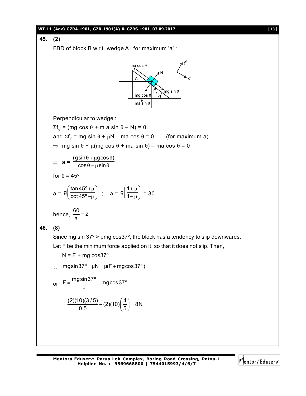### **WT-11 (Adv) GZRA-1901, GZR-1901(A) & GZRS-1901\_03.09.2017** [ **13** ]

**45. (2)**

FBD of block B w.r.t. wedge A , for maximum 'a' :



Perpendicular to wedge :

 $\Sigma f_{y'}$  = (mg cos  $\theta$  + m a sin  $\theta$  – N) = 0.

and  $\Sigma f_x$  = mg sin  $\theta$  +  $\mu$ N – ma cos  $\theta$  = 0 (for maximum a)

 $\Rightarrow$  mg sin  $\theta$  +  $\mu$ (mg cos  $\theta$  + ma sin  $\theta$ ) – ma cos  $\theta$  = 0

$$
\Rightarrow a = \frac{(gsin\theta + \mu g \cos \theta)}{\cos \theta - \mu \sin \theta}
$$

for  $\theta = 45^\circ$ 

a = 
$$
9\left(\frac{\tan 45^\circ + \mu}{\cot 45^\circ - \mu}\right)
$$
; a =  $9\left(\frac{1 + \mu}{1 - \mu}\right)$  = 30

hence, 
$$
\frac{60}{a} = 2
$$

**46. (8)**

Since mg sin  $37^{\circ}$  > µmg cos $37^{\circ}$ , the block has a tendency to slip downwards. Let F be the minimum force applied on it, so that it does not slip. Then,

 $N = F + mg \cos 37^\circ$ 

$$
\therefore \quad mg\sin 37^\circ = \mu N = \mu (F + mg\cos 37^\circ)
$$

or 
$$
F = \frac{mg\sin 37^\circ}{\mu} - mg\cos 37^\circ
$$

$$
=\frac{(2)(10)(3/5)}{0.5}-(2)(10)\left(\frac{4}{5}\right)=8N
$$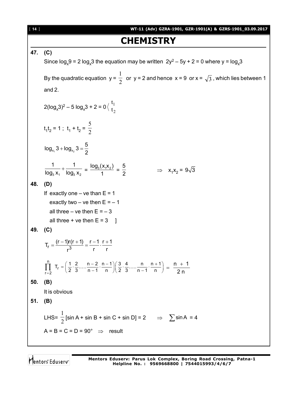[ **14** ] **WT-11 (Adv) GZRA-1901, GZR-1901(A) & GZRS-1901\_03.09.2017 CHEMISTRY 47. (C)** Since  $\log_{x} 9 = 2 \log_{x} 3$  the equation may be written  $2y^{2} - 5y + 2 = 0$  where  $y = \log_{x} 3$ By the quadratic equation  $y = \frac{1}{2}$ 1 or  $y = 2$  and hence  $x = 9$  or  $x = \sqrt{3}$ , which lies between 1 and 2.  $2(log_x 3)^2 - 5 log_x 3 + 2 = 0$ 2 1 t t  $t_1t_2 = 1$ ;  $t_1 + t_2 = \frac{1}{2}$ 5 1 2 x x  $log_{x_2} 3 + log_{x_2} 3 = \frac{5}{6}$ 2 +  $log_{x_2} 3 = \frac{1}{2}$  $3^{11}$   $10^{19}3^{12}$ 1 1  $\frac{1}{\log_3 x_1} + \frac{1}{\log_3 x_2} = \frac{\log_3(x_1x_2)}{1} =$ 5 2  $\Rightarrow$   $x_1x_2 = 9\sqrt{3}$ **48. (D)** If exactly one – ve than  $E = 1$ exactly two – ve then  $E = -1$ all three – ve then  $E = -3$ all three  $+$  ve then  $E = 3$  ] **49. (C)**  $T_r = \frac{(r-1)r(r+1)}{r^3} = \frac{r-1}{r} \cdot \frac{r+1}{r}$ r<sup>3</sup> r r  $=\frac{(r-1)r(r+1)}{2}=\frac{r-1}{r+1}$ . n r  $r = 2$  $\prod_{r=2}^{n}$  T<sub>r</sub> =  $\left(\frac{1}{2}, \frac{2}{3}, \dots, \frac{n-2}{n-1}, \frac{n-1}{n}\right) \left(\frac{3}{2}, \frac{4}{3}, \dots, \frac{n}{n-1}, \frac{n+1}{n}\right)$  $\prod_{r=2}^{n}$  T<sub>r</sub> =  $\left(\frac{1}{2}\cdot\frac{2}{3}\cdot\cdot\cdot\cdot\frac{n-2}{n-1}\cdot\frac{n-1}{n}\right)\left(\frac{3}{2}\cdot\frac{4}{3}\cdot\cdot\cdot\cdot\frac{n}{n-1}\cdot\frac{n+1}{n}\right) = \frac{n+1}{2n}$ 2 n  $=\frac{n+}{2}$ **50. (B)** It is obvious **51. (B)** LHS=  $\frac{1}{2}$  $\frac{1}{2}$  [sin A + sin B + sin C + sin D] = 2  $\Rightarrow$   $\sum$  sin A = 4  $A = B = C = D = 90^{\circ} \Rightarrow$  result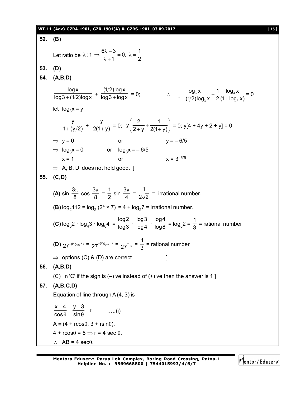#### **WT-11 (Adv) GZRA-1901, GZR-1901(A) & GZRS-1901\_03.09.2017** [ **15** ]

**52. (B)** Let ratio be  $\lambda$  : 1  $\Rightarrow \frac{6\lambda - 3}{3} = 0$ ,  $\lambda = \frac{1}{2}$  $1 \quad 2$  $\lambda$ :1  $\Rightarrow \frac{6\lambda - 3}{\lambda - 4} = 0$ ,  $\lambda = \frac{1}{2}$  $\lambda + 1$ **53. (D) 54. (A,B,D)** logx  $\frac{6}{\log 3 + (1/2)\log x}$  + (1/2)log x  $\frac{1}{\log 3 + \log x} = 0;$   $\therefore$   $\frac{\log_3 x}{1 + (1/2)\log_2 x} + \frac{1}{2} \frac{\log_3 x}{(1 + \log_3 x)}$  $3^{\prime\prime}$   $\sim$   $(11093)$  $log_3 x$  1  $log_3 x$  $1 + (1/2) \log_3 x$  2 (1 +  $\log_3 x$ )  $^{+}$  $+(1/2)$ log $_3$  x  $-2$  (1+1 = 0 let  $log_3 x = y$ y  $\frac{1}{1+(y/2)}$  + y  $\frac{y}{2(1+y)} = 0;$  $y\left(\frac{2}{2} + \frac{1}{2} \right)$  $\left(\frac{2}{2+y}+\frac{1}{2(1+y)}\right)=0$ ; y[4 + 4y + 2 + y] = 0  $\Rightarrow$  y = 0 or y = – 6/5  $\Rightarrow$  log<sub>3</sub>x = 0 or log<sub>3</sub>x = – 6/5  $x = 1$  or  $x = 3^{-6/5}$  $\Rightarrow$  A, B, D does not hold good. ] **55. (C,D) (A)** sin 3 8  $\frac{\pi}{2}$  cos 3 8  $\frac{\pi}{2}$  = 1  $\frac{1}{2}$  sin 3 4  $\frac{\pi}{4}$  = 1  $\sqrt{2\sqrt{2}}$  = irrational number. **(B)**  $log_2 112 = log_2 (2^4 \times 7) = 4 + log_2 7 = 1$  irrational number. **(C)**  $log_3 2 \cdot log_4 3 \cdot log_8 4 =$ log2  $\frac{6}{\log 3}$  · log3  $\frac{6}{\log 4}$  · log4  $\frac{1}{\log 8} = \log_8 2 =$ 1  $\frac{1}{3}$  = rational number **(D)** 27<sup>-(log<sub>125</sub>5) = 27<sup>-(log</sup><sub>5-3</sub>5) = 27<sup>- $\frac{1}{3}$ </sup></sup>  $27^{-\frac{1}{3}}$  = 1  $\frac{1}{3}$  = rational number  $\Rightarrow$  options (C) & (D) are correct  $\Box$ **56. (A,B,D)** (C) in 'C' if the sign is  $(-)$  ve instead of  $(+)$  ve then the answer is 1 ] **57. (A,B,C,D)** Equation of line through  $A(4, 3)$  is  $\frac{x-4}{2} = \frac{y-3}{1} = r$  $cos \theta$  sin  $\frac{-4}{\sin \theta} = \frac{y-3}{\sin \theta} = r$  .....(i)  $A = (4 + r \cos\theta, 3 + r \sin\theta).$  $4 + r \cos \theta = 8 \Rightarrow r = 4 \sec \theta$ .  $AB = 4 \text{ sec}$  $\theta$ 

Mentors<sup>®</sup> Eduserv<sup>®</sup>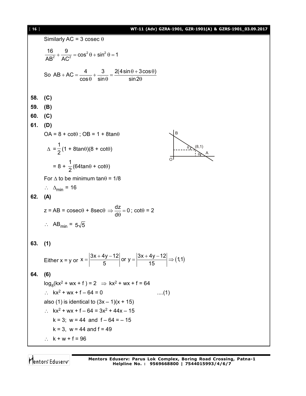# [ **16** ] **WT-11 (Adv) GZRA-1901, GZR-1901(A) & GZRS-1901\_03.09.2017**

 $\partial \sum A$ 

Similarly AC = 3 cosec θ  
\n
$$
\frac{16}{AB^2} + \frac{9}{AC^2} = cos^2 \theta + sin^2 \theta = 1
$$
\nSo AB + AC =  $\frac{4}{cos \theta} + \frac{3}{sin \theta} = \frac{2(4sin\theta + 3cos\theta)}{sin2\theta}$   
\n58. (C)  
\n59. (B)  
\n60. (C)  
\n61. (D)  
\nOA = 8 + cotθ; OB = 1 + 8tanθ  
\n
$$
\Delta = \frac{1}{2}(1 + 8tan\theta)(8 + cot\theta)
$$
\nFor Δ to be minimum tanθ = 1/8  
\n $\therefore \Delta_{min} = 16$   
\n62. (A)  
\n $z = AB = cosec\theta + 8sec\theta \Rightarrow \frac{dz}{d\theta} = 0$ ; cotθ = 2  
\n $\therefore AB_{min} = 5\sqrt{5}$   
\n63. (1)  
\nEither x = y or x =  $\left|\frac{3x + 4y - 12}{5}\right|$  or y =  $\left|\frac{3x + 4y - 12}{15}\right| \Rightarrow (1,1)$   
\n64. (6)  
\n $log_8(kx^2 + wx + f) = 2 \Rightarrow kx^2 + wx + f = 64$   
\n $\therefore kx^2 + wx + f - 64 = 0$  ....(1)  
\nalso (1) is identical to (3x - 1)(x + 15)  
\n $\therefore kx^2 + wx + f - 64 = 3x^2 + 44x - 15$   
\n $k = 3; w = 44$  and  $f = 64 = -15$   
\n $k = 3; w = 44$  and  $f = 49$   
\n $\therefore k + w + f = 96$ 

Mentors<sup>e</sup> Eduserv<sup>-</sup>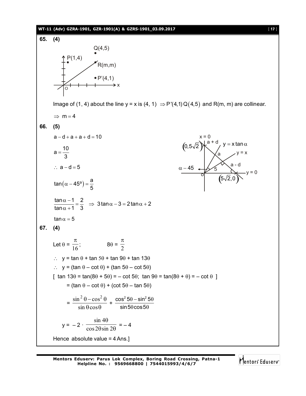#### **WT-11 (Adv) GZRA-1901, GZR-1901(A) & GZRS-1901\_03.09.2017** [ **17** ]



Mentors Eduserv